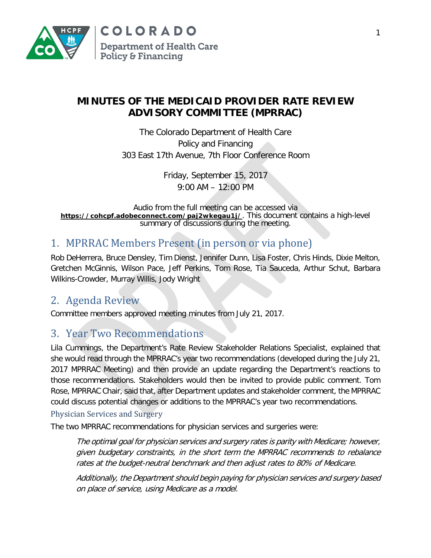

## **MINUTES OF THE MEDICAID PROVIDER RATE REVIEW ADVISORY COMMITTEE (MPRRAC)**

The Colorado Department of Health Care Policy and Financing 303 East 17th Avenue, 7th Floor Conference Room

> Friday, September 15, 2017 9:00 AM – 12:00 PM

Audio from the full meeting can be accessed via **[https://cohcpf.adobeconnect.com/paj2wkegau1j/](https://cohcpf.adobeconnect.com/paj2wkegau1j/?OWASP_CSRFTOKEN=fb1474d5cc1a4f9f3fdb00f73044087ddd6302458d5a9bff90fea40429e6e13b)**. This document contains a high-level summary of discussions during the meeting.

# 1. MPRRAC Members Present (in person or via phone)

Rob DeHerrera, Bruce Densley, Tim Dienst, Jennifer Dunn, Lisa Foster, Chris Hinds, Dixie Melton, Gretchen McGinnis, Wilson Pace, Jeff Perkins, Tom Rose, Tia Sauceda, Arthur Schut, Barbara Wilkins-Crowder, Murray Willis, Jody Wright

# 2. Agenda Review

Committee members approved meeting minutes from July 21, 2017.

# 3. Year Two Recommendations

Lila Cummings, the Department's Rate Review Stakeholder Relations Specialist, explained that she would read through the MPRRAC's year two recommendations (developed during the July 21, 2017 MPRRAC Meeting) and then provide an update regarding the Department's reactions to those recommendations. Stakeholders would then be invited to provide public comment. Tom Rose, MPRRAC Chair, said that, after Department updates and stakeholder comment, the MPRRAC could discuss potential changes or additions to the MPRRAC's year two recommendations.

### Physician Services and Surgery

The two MPRRAC recommendations for physician services and surgeries were:

The optimal goal for physician services and surgery rates is parity with Medicare; however, given budgetary constraints, in the short term the MPRRAC recommends to rebalance rates at the budget-neutral benchmark and then adjust rates to 80% of Medicare.

Additionally, the Department should begin paying for physician services and surgery based on place of service, using Medicare as a model.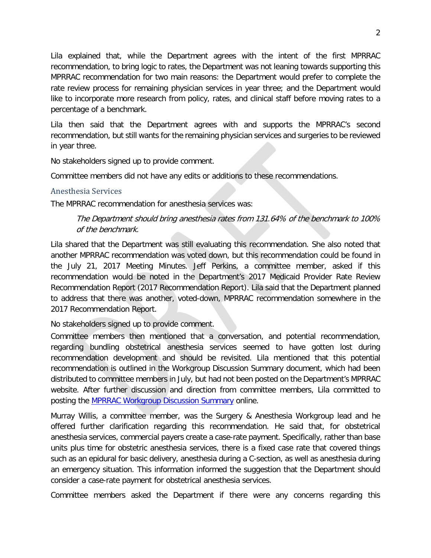Lila explained that, while the Department agrees with the intent of the first MPRRAC recommendation, to bring logic to rates, the Department was not leaning towards supporting this MPRRAC recommendation for two main reasons: the Department would prefer to complete the rate review process for remaining physician services in year three; and the Department would like to incorporate more research from policy, rates, and clinical staff before moving rates to a percentage of a benchmark.

Lila then said that the Department agrees with and supports the MPRRAC's second recommendation, but still wants for the remaining physician services and surgeries to be reviewed in year three.

No stakeholders signed up to provide comment.

Committee members did not have any edits or additions to these recommendations.

#### Anesthesia Services

The MPRRAC recommendation for anesthesia services was:

### The Department should bring anesthesia rates from 131.64% of the benchmark to 100% of the benchmark.

Lila shared that the Department was still evaluating this recommendation. She also noted that another MPRRAC recommendation was voted down, but this recommendation could be found in the July 21, 2017 Meeting Minutes. Jeff Perkins, a committee member, asked if this recommendation would be noted in the Department's 2017 Medicaid Provider Rate Review Recommendation Report (2017 Recommendation Report). Lila said that the Department planned to address that there was another, voted-down, MPRRAC recommendation somewhere in the 2017 Recommendation Report.

No stakeholders signed up to provide comment.

Committee members then mentioned that a conversation, and potential recommendation, regarding bundling obstetrical anesthesia services seemed to have gotten lost during recommendation development and should be revisited. Lila mentioned that this potential recommendation is outlined in the Workgroup Discussion Summary document, which had been distributed to committee members in July, but had not been posted on the Department's MPRRAC website. After further discussion and direction from committee members, Lila committed to posting the [MPRRAC Workgroup Discussion Summary](https://www.colorado.gov/pacific/sites/default/files/MPRRAC%20Workgroup%20Meeting%20Summaries%20July%202017.pdf) online.

Murray Willis, a committee member, was the Surgery & Anesthesia Workgroup lead and he offered further clarification regarding this recommendation. He said that, for obstetrical anesthesia services, commercial payers create a case-rate payment. Specifically, rather than base units plus time for obstetric anesthesia services, there is a fixed case rate that covered things such as an epidural for basic delivery, anesthesia during a C-section, as well as anesthesia during an emergency situation. This information informed the suggestion that the Department should consider a case-rate payment for obstetrical anesthesia services.

Committee members asked the Department if there were any concerns regarding this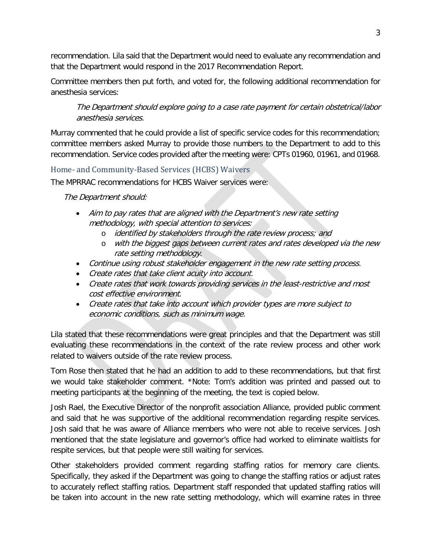recommendation. Lila said that the Department would need to evaluate any recommendation and that the Department would respond in the 2017 Recommendation Report.

Committee members then put forth, and voted for, the following additional recommendation for anesthesia services:

The Department should explore going to a case rate payment for certain obstetrical/labor anesthesia services.

Murray commented that he could provide a list of specific service codes for this recommendation; committee members asked Murray to provide those numbers to the Department to add to this recommendation. Service codes provided after the meeting were: CPTs 01960, 01961, and 01968.

### Home- and Community-Based Services (HCBS) Waivers

The MPRRAC recommendations for HCBS Waiver services were:

The Department should:

- Aim to pay rates that are aligned with the Department's new rate setting methodology, with special attention to services:
	- o identified by stakeholders through the rate review process; and
	- o with the biggest gaps between current rates and rates developed via the new rate setting methodology.
- Continue using robust stakeholder engagement in the new rate setting process.
- Create rates that take client acuity into account.
- Create rates that work towards providing services in the least-restrictive and most cost effective environment.
- Create rates that take into account which provider types are more subject to economic conditions, such as minimum wage.

Lila stated that these recommendations were great principles and that the Department was still evaluating these recommendations in the context of the rate review process and other work related to waivers outside of the rate review process.

Tom Rose then stated that he had an addition to add to these recommendations, but that first we would take stakeholder comment. \*Note: Tom's addition was printed and passed out to meeting participants at the beginning of the meeting, the text is copied below.

Josh Rael, the Executive Director of the nonprofit association Alliance, provided public comment and said that he was supportive of the additional recommendation regarding respite services. Josh said that he was aware of Alliance members who were not able to receive services. Josh mentioned that the state legislature and governor's office had worked to eliminate waitlists for respite services, but that people were still waiting for services.

Other stakeholders provided comment regarding staffing ratios for memory care clients. Specifically, they asked if the Department was going to change the staffing ratios or adjust rates to accurately reflect staffing ratios. Department staff responded that updated staffing ratios will be taken into account in the new rate setting methodology, which will examine rates in three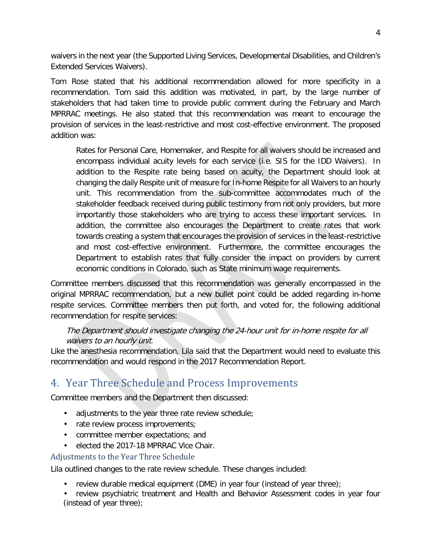waivers in the next year (the Supported Living Services, Developmental Disabilities, and Children's Extended Services Waivers).

Tom Rose stated that his additional recommendation allowed for more specificity in a recommendation. Tom said this addition was motivated, in part, by the large number of stakeholders that had taken time to provide public comment during the February and March MPRRAC meetings. He also stated that this recommendation was meant to encourage the provision of services in the least-restrictive and most cost-effective environment. The proposed addition was:

Rates for Personal Care, Homemaker, and Respite for all waivers should be increased and encompass individual acuity levels for each service (i.e. SIS for the IDD Waivers). In addition to the Respite rate being based on acuity, the Department should look at changing the daily Respite unit of measure for In-home Respite for all Waivers to an hourly unit. This recommendation from the sub-committee accommodates much of the stakeholder feedback received during public testimony from not only providers, but more importantly those stakeholders who are trying to access these important services. In addition, the committee also encourages the Department to create rates that work towards creating a system that encourages the provision of services in the least-restrictive and most cost-effective environment. Furthermore, the committee encourages the Department to establish rates that fully consider the impact on providers by current economic conditions in Colorado, such as State minimum wage requirements.

Committee members discussed that this recommendation was generally encompassed in the original MPRRAC recommendation, but a new bullet point could be added regarding in-home respite services. Committee members then put forth, and voted for, the following additional recommendation for respite services:

### The Department should investigate changing the 24-hour unit for in-home respite for all waivers to an hourly unit.

Like the anesthesia recommendation, Lila said that the Department would need to evaluate this recommendation and would respond in the 2017 Recommendation Report.

# 4. Year Three Schedule and Process Improvements

Committee members and the Department then discussed:

- adjustments to the year three rate review schedule;
- rate review process improvements;
- committee member expectations; and
- elected the 2017-18 MPRRAC Vice Chair.

#### Adjustments to the Year Three Schedule

Lila outlined changes to the rate review schedule. These changes included:

- review durable medical equipment (DME) in year four (instead of year three);
- review psychiatric treatment and Health and Behavior Assessment codes in year four (instead of year three);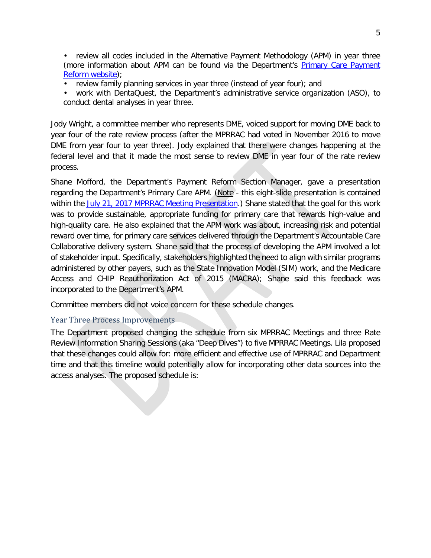• review all codes included in the Alternative Payment Methodology (APM) in year three (more information about APM can be found via the Department's [Primary Care Payment](https://www.colorado.gov/pacific/hcpf/primary-care-payment-reform-3)  [Reform website\)](https://www.colorado.gov/pacific/hcpf/primary-care-payment-reform-3);

review family planning services in year three (instead of year four); and

• work with DentaQuest, the Department's administrative service organization (ASO), to conduct dental analyses in year three.

Jody Wright, a committee member who represents DME, voiced support for moving DME back to year four of the rate review process (after the MPRRAC had voted in November 2016 to move DME from year four to year three). Jody explained that there were changes happening at the federal level and that it made the most sense to review DME in year four of the rate review process.

Shane Mofford, the Department's Payment Reform Section Manager, gave a presentation regarding the Department's Primary Care APM. (Note - this eight-slide presentation is contained within the [July 21, 2017 MPRRAC Meeting Presentation.](https://www.colorado.gov/pacific/sites/default/files/MPRRAC%20Presentation%20September%202017.pdf)) Shane stated that the goal for this work was to provide sustainable, appropriate funding for primary care that rewards high-value and high-quality care. He also explained that the APM work was about, increasing risk and potential reward over time, for primary care services delivered through the Department's Accountable Care Collaborative delivery system. Shane said that the process of developing the APM involved a lot of stakeholder input. Specifically, stakeholders highlighted the need to align with similar programs administered by other payers, such as the State Innovation Model (SIM) work, and the Medicare Access and CHIP Reauthorization Act of 2015 (MACRA); Shane said this feedback was incorporated to the Department's APM.

Committee members did not voice concern for these schedule changes.

### Year Three Process Improvements

The Department proposed changing the schedule from six MPRRAC Meetings and three Rate Review Information Sharing Sessions (aka "Deep Dives") to five MPRRAC Meetings. Lila proposed that these changes could allow for: more efficient and effective use of MPRRAC and Department time and that this timeline would potentially allow for incorporating other data sources into the access analyses. The proposed schedule is: